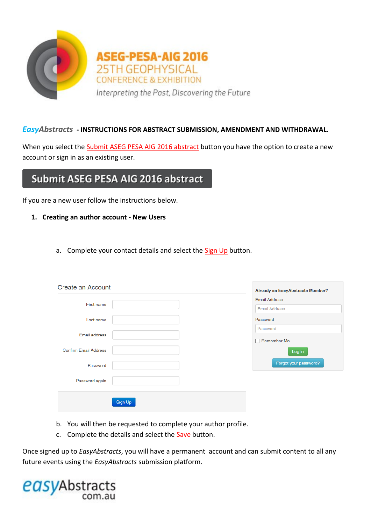

# *EasyAbstracts* **- INSTRUCTIONS FOR ABSTRACT SUBMISSION, AMENDMENT AND WITHDRAWAL.**

When you select the Submit ASEG PESA AIG 2016 abstract button you have the option to create a new account or sign in as an existing user.

# Submit ASEG PESA AIG 2016 abstract

If you are a new user follow the instructions below.

- **1. Creating an author account - New Users**
	- a. Complete your contact details and select the Sign Up button.

| <b>Create an Account</b>     |         | <b>Already an EasyAbstracts Member?</b> |
|------------------------------|---------|-----------------------------------------|
| First name                   |         | <b>Email Address</b>                    |
|                              |         | <b>Email Address</b>                    |
| Last name                    |         | Password                                |
|                              |         | Password                                |
| Email address                |         | Remember Me                             |
| <b>Confirm Email Address</b> |         | Log in                                  |
| Password                     |         | Forgot your password?                   |
| Password again               |         |                                         |
|                              | Sign Up |                                         |

- b. You will then be requested to complete your author profile.
- c. Complete the details and select the **Save** button.

Once signed up to *EasyAbstracts*, you will have a permanent account and can submit content to all any future events using the *EasyAbstracts* submission platform.

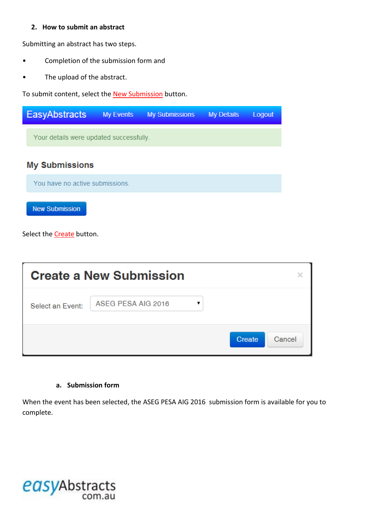## **2. How to submit an abstract**

Submitting an abstract has two steps.

- Completion of the submission form and
- The upload of the abstract.

To submit content, select the **New Submission** button.

| <b>EasyAbstracts</b>                    | <b>My Events</b> | <b>My Submissions</b> | <b>My Details</b> | Logout |  |
|-----------------------------------------|------------------|-----------------------|-------------------|--------|--|
| Your details were updated successfully. |                  |                       |                   |        |  |
| <b>My Submissions</b>                   |                  |                       |                   |        |  |
| You have no active submissions.         |                  |                       |                   |        |  |
| <b>New Submission</b>                   |                  |                       |                   |        |  |

Select the **Create** button.

|                  | <b>Create a New Submission</b> |        |        |
|------------------|--------------------------------|--------|--------|
| Select an Event: | ASEG PESA AIG 2016             |        |        |
|                  |                                | Create | Cancel |

## **a. Submission form**

When the event has been selected, the ASEG PESA AIG 2016 submission form is available for you to complete.

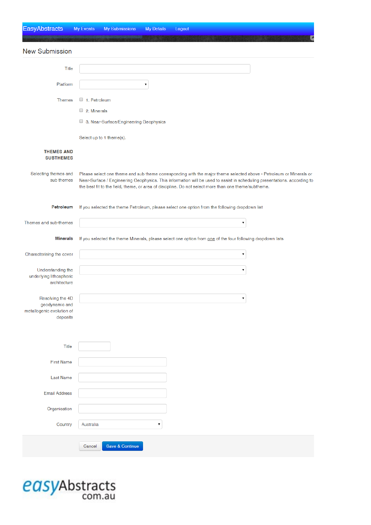| <b>EasyAbstracts</b>                                                        | My Events                   | My Submissions                         | My Details | Logout                                                                                                                                                                                                                                                                                                                                                 |
|-----------------------------------------------------------------------------|-----------------------------|----------------------------------------|------------|--------------------------------------------------------------------------------------------------------------------------------------------------------------------------------------------------------------------------------------------------------------------------------------------------------------------------------------------------------|
| <b>New Submission</b>                                                       |                             |                                        |            |                                                                                                                                                                                                                                                                                                                                                        |
| Title                                                                       |                             |                                        |            |                                                                                                                                                                                                                                                                                                                                                        |
| Platform                                                                    |                             |                                        | ۷          |                                                                                                                                                                                                                                                                                                                                                        |
| <b>Themes</b>                                                               | 1. Petroleum<br>2. Minerals | 3. Near-Surface/Engineering Geophysics |            |                                                                                                                                                                                                                                                                                                                                                        |
|                                                                             |                             | Select up to 1 theme(s).               |            |                                                                                                                                                                                                                                                                                                                                                        |
| <b>THEMES AND</b><br><b>SUBTHEMES</b>                                       |                             |                                        |            |                                                                                                                                                                                                                                                                                                                                                        |
| Selecting themes and<br>sub themes                                          |                             |                                        |            | Please select one theme and sub theme corresponding with the major theme selected above - Petroleum or Minerals or<br>Near-Surface / Engineering Geophysics. This information will be used to assist in scheduling presentations. according to<br>the best fit to the field, theme, or area of discipline. Do not select more than one theme/subtheme. |
| Petroleum                                                                   |                             |                                        |            | If you selected the theme Petroleum, please select one option from the following dropdown list                                                                                                                                                                                                                                                         |
| Themes and sub-themes                                                       |                             |                                        |            | ۷                                                                                                                                                                                                                                                                                                                                                      |
| Minerals                                                                    |                             |                                        |            | If you selected the theme Minerals, please select one option from one of the four following dropdown lists                                                                                                                                                                                                                                             |
| Characterising the cover                                                    |                             |                                        |            | ۷                                                                                                                                                                                                                                                                                                                                                      |
| Understanding the<br>underlying lithospheric<br>architecture                |                             |                                        |            | 7                                                                                                                                                                                                                                                                                                                                                      |
| Resolving the 4D<br>geodynamic and<br>metallogenic evolution of<br>deposits |                             |                                        |            |                                                                                                                                                                                                                                                                                                                                                        |
| Title                                                                       |                             |                                        |            |                                                                                                                                                                                                                                                                                                                                                        |
| <b>First Name</b>                                                           |                             |                                        |            |                                                                                                                                                                                                                                                                                                                                                        |
| Last Name                                                                   |                             |                                        |            |                                                                                                                                                                                                                                                                                                                                                        |
| <b>Email Address</b>                                                        |                             |                                        |            |                                                                                                                                                                                                                                                                                                                                                        |
| Organisation                                                                |                             |                                        |            |                                                                                                                                                                                                                                                                                                                                                        |
| Country                                                                     | Australia                   |                                        | ▼          |                                                                                                                                                                                                                                                                                                                                                        |
|                                                                             | Cancel                      | Save & Continue                        |            |                                                                                                                                                                                                                                                                                                                                                        |

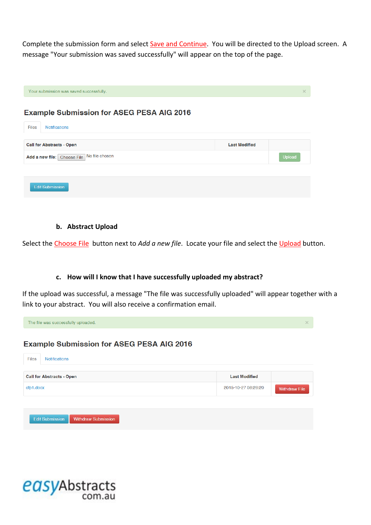Complete the submission form and select Save and Continue. You will be directed to the Upload screen. A message "Your submission was saved successfully" will appear on the top of the page.

|       | Your submission was saved successfully.          | $\times$ |
|-------|--------------------------------------------------|----------|
|       | <b>Example Submission for ASEG PESA AIG 2016</b> |          |
| Files | <b>Notifications</b>                             |          |
|       |                                                  |          |

| <b>Call for Abstracts - Open</b>           | <b>Last Modified</b> |               |
|--------------------------------------------|----------------------|---------------|
| Add a new file: Choose File No file chosen |                      | <b>Upload</b> |
|                                            |                      |               |
| <b>Edit Submission</b>                     |                      |               |

### **b. Abstract Upload**

Select the Choose File button next to *Add a new file*. Locate your file and select the Upload button.

### **c. How will I know that I have successfully uploaded my abstract?**

If the upload was successful, a message "The file was successfully uploaded" will appear together with a link to your abstract. You will also receive a confirmation email.



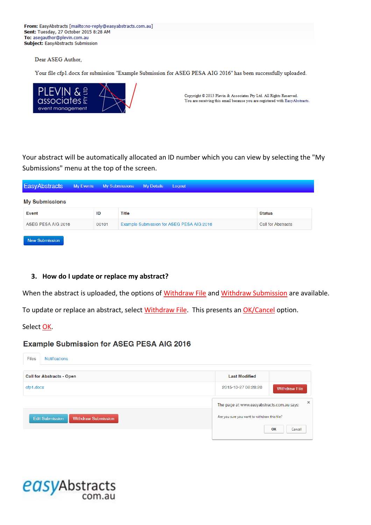From: EasyAbstracts [mailto:no-reply@easyabstracts.com.au] Sent: Tuesday, 27 October 2015 8:28 AM To: asegauthor@plevin.com.au Subject: EasyAbstracts Submission

Dear ASEG Author,

Your file cfp1.docx for submission "Example Submission for ASEG PESA AIG 2016" has been successfully uploaded.



Copyright © 2013 Plevin & Associates Pty Ltd. All Rights Reserved. You are receiving this email because you are registered with EasyAbstracts.

Your abstract will be automatically allocated an ID number which you can view by selecting the "My Submissions" menu at the top of the screen.

| <b>EasyAbstracts</b>  | My Events |       | <b>My Submissions</b> | <b>My Details</b> | Logout                                    |                           |
|-----------------------|-----------|-------|-----------------------|-------------------|-------------------------------------------|---------------------------|
| <b>My Submissions</b> |           |       |                       |                   |                                           |                           |
| Event                 |           | ID    | Title                 |                   |                                           | <b>Status</b>             |
| ASEG PESA AIG 2016    |           | 00101 |                       |                   | Example Submission for ASEG PESA AIG 2016 | <b>Call for Abstracts</b> |
| <b>New Submission</b> |           |       |                       |                   |                                           |                           |

### **3. How do I update or replace my abstract?**

When the abstract is uploaded, the options of Withdraw File and Withdraw Submission are available.

To update or replace an abstract, select Withdraw File. This presents an OK/Cancel option.

Select OK.

### **Example Submission for ASEG PESA AIG 2016**

| Files<br><b>Notifications</b>                        |                                                 |
|------------------------------------------------------|-------------------------------------------------|
| <b>Call for Abstracts - Open</b>                     | <b>Last Modified</b>                            |
| cfp1.docx                                            | 2015-10-27 08:28:20<br><b>Withdraw File</b>     |
|                                                      | ×<br>The page at www.easyabstracts.com.au says: |
| <b>Edit Submission</b><br><b>Withdraw Submission</b> | Are you sure you want to withdraw this file?    |
|                                                      | OK<br>Cancel                                    |

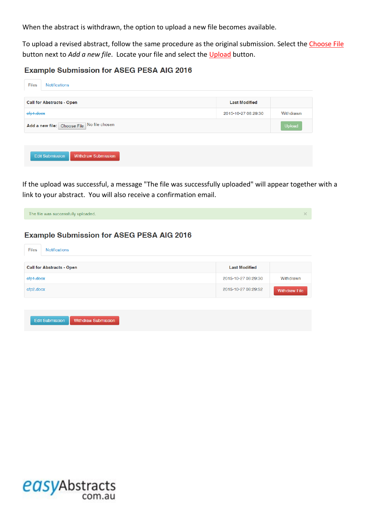When the abstract is withdrawn, the option to upload a new file becomes available.

To upload a revised abstract, follow the same procedure as the original submission. Select the Choose File button next to *Add a new file*. Locate your file and select the Upload button.

## **Example Submission for ASEG PESA AIG 2016**

| <b>Files</b>                               | Notifications                                        |                      |           |
|--------------------------------------------|------------------------------------------------------|----------------------|-----------|
|                                            | <b>Call for Abstracts - Open</b>                     | <b>Last Modified</b> |           |
| efp1.doex                                  |                                                      | 2015-10-27 08:29:30  | Withdrawn |
| Add a new file: Choose File No file chosen |                                                      |                      |           |
|                                            |                                                      |                      |           |
|                                            | <b>Withdraw Submission</b><br><b>Edit Submission</b> |                      |           |

If the upload was successful, a message "The file was successfully uploaded" will appear together with a link to your abstract. You will also receive a confirmation email.

| The file was successfully uploaded.                  |                      | $\times$             |
|------------------------------------------------------|----------------------|----------------------|
| <b>Example Submission for ASEG PESA AIG 2016</b>     |                      |                      |
| <b>Notifications</b><br><b>Files</b>                 |                      |                      |
| <b>Call for Abstracts - Open</b>                     | <b>Last Modified</b> |                      |
| efp1.doex                                            | 2015-10-27 08:29:30  | Withdrawn            |
| cfp2.docx                                            | 2015-10-27 08:29:52  | <b>Withdraw File</b> |
|                                                      |                      |                      |
| <b>Withdraw Submission</b><br><b>Edit Submission</b> |                      |                      |

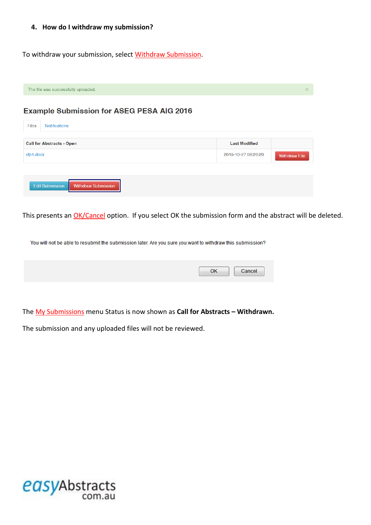#### **4. How do I withdraw my submission?**

To withdraw your submission, select Withdraw Submission.

| The file was successfully uploaded.                  |                      | $\times$             |
|------------------------------------------------------|----------------------|----------------------|
| <b>Example Submission for ASEG PESA AIG 2016</b>     |                      |                      |
| <b>Files</b><br><b>Notifications</b>                 |                      |                      |
| <b>Call for Abstracts - Open</b>                     | <b>Last Modified</b> |                      |
| cfp1.docx                                            | 2015-10-27 08:28:20  | <b>Withdraw File</b> |
|                                                      |                      |                      |
| <b>Edit Submission</b><br><b>Withdraw Submission</b> |                      |                      |

This presents an **OK/Cancel** option. If you select OK the submission form and the abstract will be deleted.

You will not be able to resubmit the submission later. Are you sure you want to withdraw this submission?

The My Submissions menu Status is now shown as **Call for Abstracts – Withdrawn.**

The submission and any uploaded files will not be reviewed.